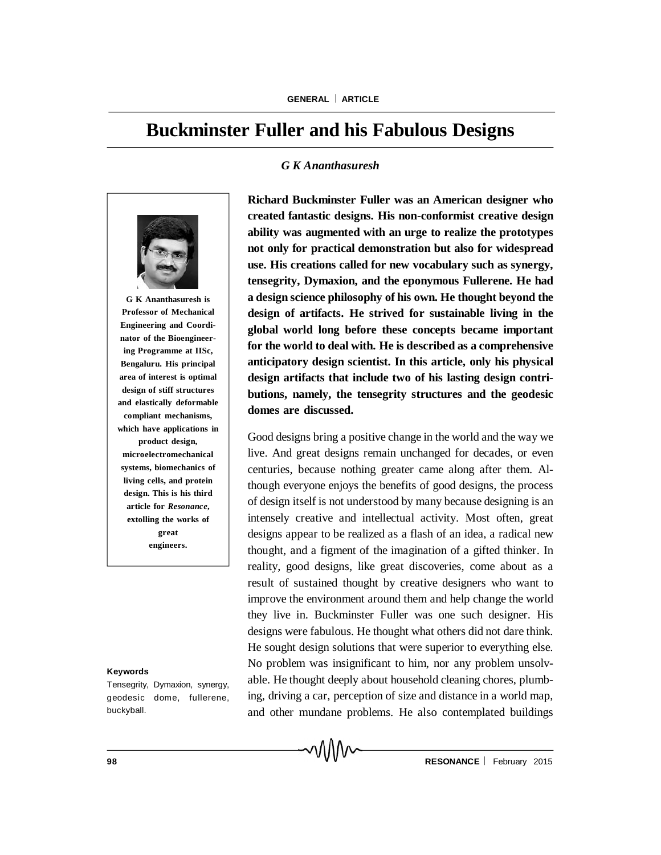# **Buckminster Fuller and his Fabulous Designs**



**G K Ananthasuresh is Professor of Mechanical Engineering and Coordinator of the Bioengineering Programme at IISc, Bengaluru. His principal area of interest is optimal design of stiff structures and elastically deformable compliant mechanisms, which have applications in product design, microelectromechanical systems, biomechanics of living cells, and protein design. This is his third article for** *Resonance***, extolling the works of great engineers.**

#### **Keywords**

Tensegrity, Dymaxion, synergy, geodesic dome, fullerene, buckyball.

#### *G K Ananthasuresh*

**Richard Buckminster Fuller was an American designer who created fantastic designs. His non-conformist creative design ability was augmented with an urge to realize the prototypes not only for practical demonstration but also for widespread use. His creations called for new vocabulary such as synergy, tensegrity, Dymaxion, and the eponymous Fullerene. He had a design science philosophy of his own. He thought beyond the design of artifacts. He strived for sustainable living in the global world long before these concepts became important for the world to deal with. He is described as a comprehensive anticipatory design scientist. In this article, only his physical design artifacts that include two of his lasting design contributions, namely, the tensegrity structures and the geodesic domes are discussed.**

Good designs bring a positive change in the world and the way we live. And great designs remain unchanged for decades, or even centuries, because nothing greater came along after them. Although everyone enjoys the benefits of good designs, the process of design itself is not understood by many because designing is an intensely creative and intellectual activity. Most often, great designs appear to be realized as a flash of an idea, a radical new thought, and a figment of the imagination of a gifted thinker. In reality, good designs, like great discoveries, come about as a result of sustained thought by creative designers who want to improve the environment around them and help change the world they live in. Buckminster Fuller was one such designer. His designs were fabulous. He thought what others did not dare think. He sought design solutions that were superior to everything else. No problem was insignificant to him, nor any problem unsolvable. He thought deeply about household cleaning chores, plumbing, driving a car, perception of size and distance in a world map, and other mundane problems. He also contemplated buildings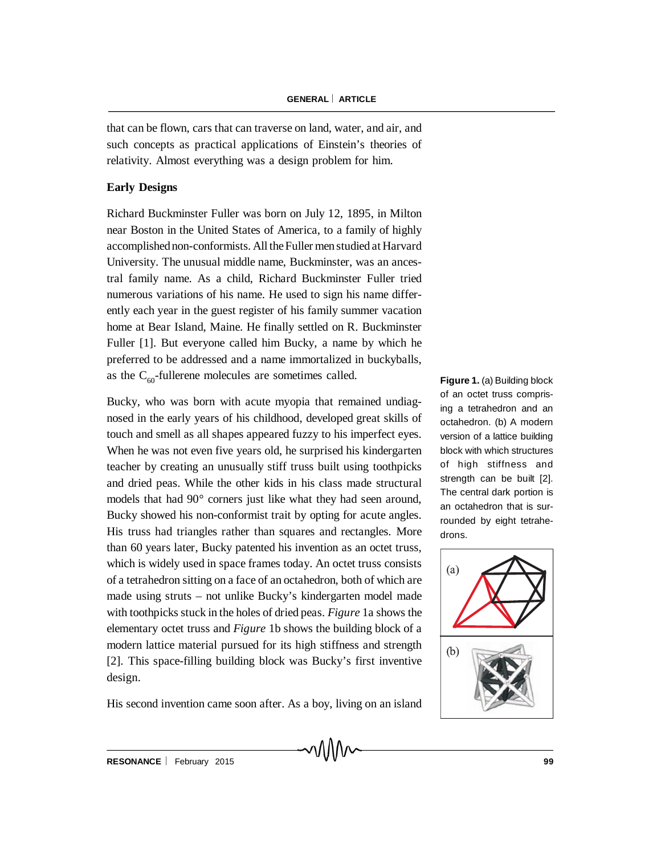that can be flown, cars that can traverse on land, water, and air, and such concepts as practical applications of Einstein's theories of relativity. Almost everything was a design problem for him.

# **Early Designs**

Richard Buckminster Fuller was born on July 12, 1895, in Milton near Boston in the United States of America, to a family of highly accomplished non-conformists. All theFuller men studied at Harvard University. The unusual middle name, Buckminster, was an ancestral family name. As a child, Richard Buckminster Fuller tried numerous variations of his name. He used to sign his name differently each year in the guest register of his family summer vacation home at Bear Island, Maine. He finally settled on R. Buckminster Fuller [1]. But everyone called him Bucky, a name by which he preferred to be addressed and a name immortalized in buckyballs, as the  $C_{60}$ -fullerene molecules are sometimes called.

Bucky, who was born with acute myopia that remained undiagnosed in the early years of his childhood, developed great skills of touch and smell as all shapes appeared fuzzy to his imperfect eyes. When he was not even five years old, he surprised his kindergarten teacher by creating an unusually stiff truss built using toothpicks and dried peas. While the other kids in his class made structural models that had 90° corners just like what they had seen around, Bucky showed his non-conformist trait by opting for acute angles. His truss had triangles rather than squares and rectangles. More than 60 years later, Bucky patented his invention as an octet truss, which is widely used in space frames today. An octet truss consists of a tetrahedron sitting on a face of an octahedron, both of which are made using struts – not unlike Bucky's kindergarten model made with toothpicks stuck in the holes of dried peas. *Figure* 1a shows the elementary octet truss and *Figure* 1b shows the building block of a modern lattice material pursued for its high stiffness and strength [2]. This space-filling building block was Bucky's first inventive design.

His second invention came soon after. As a boy, living on an island

**Figure 1.** (a) Building block of an octet truss comprising a tetrahedron and an octahedron. (b) A modern version of a lattice building block with which structures of high stiffness and strength can be built [2]. The central dark portion is an octahedron that is surrounded by eight tetrahedrons.

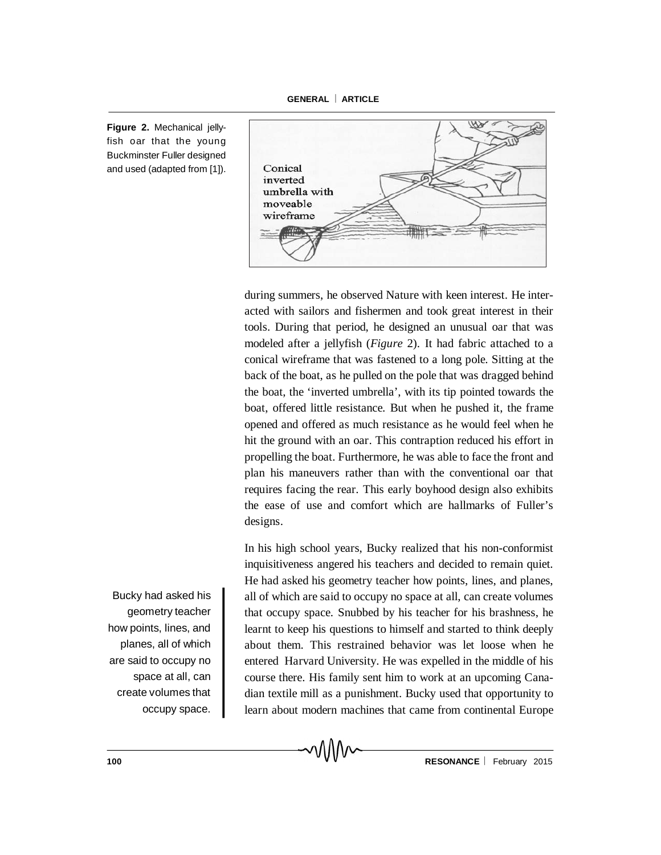**Figure 2.** Mechanical jellyfish oar that the young Buckminster Fuller designed and used (adapted from [1]).



during summers, he observed Nature with keen interest. He interacted with sailors and fishermen and took great interest in their tools. During that period, he designed an unusual oar that was modeled after a jellyfish (*Figure* 2). It had fabric attached to a conical wireframe that was fastened to a long pole. Sitting at the back of the boat, as he pulled on the pole that was dragged behind the boat, the 'inverted umbrella', with its tip pointed towards the boat, offered little resistance. But when he pushed it, the frame opened and offered as much resistance as he would feel when he hit the ground with an oar. This contraption reduced his effort in propelling the boat. Furthermore, he was able to face the front and plan his maneuvers rather than with the conventional oar that requires facing the rear. This early boyhood design also exhibits the ease of use and comfort which are hallmarks of Fuller's designs.

In his high school years, Bucky realized that his non-conformist inquisitiveness angered his teachers and decided to remain quiet. He had asked his geometry teacher how points, lines, and planes, all of which are said to occupy no space at all, can create volumes that occupy space. Snubbed by his teacher for his brashness, he learnt to keep his questions to himself and started to think deeply about them. This restrained behavior was let loose when he entered Harvard University. He was expelled in the middle of his course there. His family sent him to work at an upcoming Canadian textile mill as a punishment. Bucky used that opportunity to learn about modern machines that came from continental Europe

Bucky had asked his geometry teacher how points, lines, and planes, all of which are said to occupy no space at all, can create volumes that occupy space.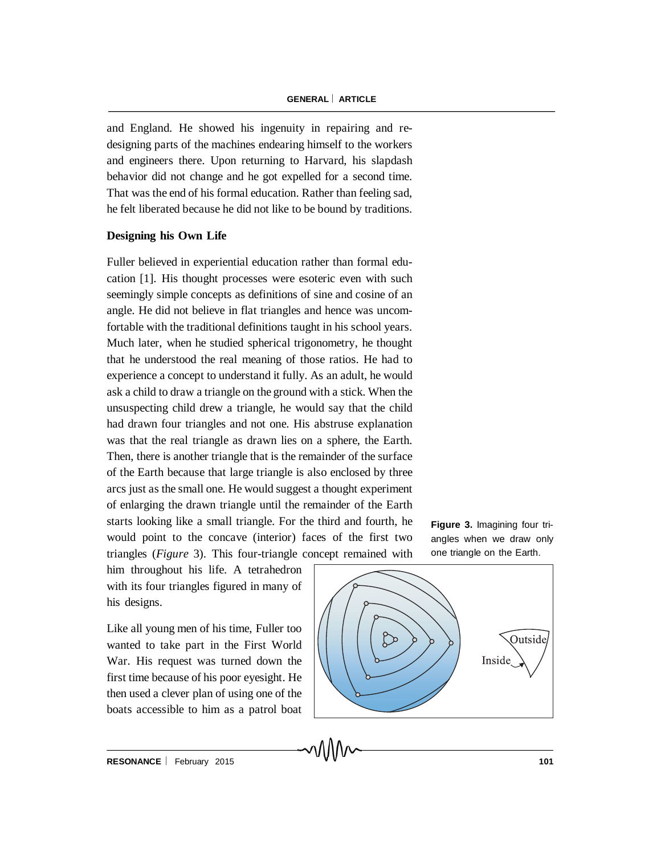and England. He showed his ingenuity in repairing and redesigning parts of the machines endearing himself to the workers and engineers there. Upon returning to Harvard, his slapdash behavior did not change and he got expelled for a second time. That was the end of his formal education. Rather than feeling sad, he felt liberated because he did not like to be bound by traditions.

# **Designing his Own Life**

Fuller believed in experiential education rather than formal education [1]. His thought processes were esoteric even with such seemingly simple concepts as definitions of sine and cosine of an angle. He did not believe in flat triangles and hence was uncomfortable with the traditional definitions taught in his school years. Much later, when he studied spherical trigonometry, he thought that he understood the real meaning of those ratios. He had to experience a concept to understand it fully. As an adult, he would ask a child to draw a triangle on the ground with a stick. When the unsuspecting child drew a triangle, he would say that the child had drawn four triangles and not one. His abstruse explanation was that the real triangle as drawn lies on a sphere, the Earth. Then, there is another triangle that is the remainder of the surface of the Earth because that large triangle is also enclosed by three arcs just as the small one. He would suggest a thought experiment of enlarging the drawn triangle until the remainder of the Earth starts looking like a small triangle. For the third and fourth, he would point to the concave (interior) faces of the first two triangles (*Figure* 3). This four-triangle concept remained with

him throughout his life. A tetrahedron with its four triangles figured in many of his designs.

Like all young men of his time, Fuller too wanted to take part in the First World War. His request was turned down the first time because of his poor eyesight. He then used a clever plan of using one of the boats accessible to him as a patrol boat **Figure 3.** Imagining four triangles when we draw only one triangle on the Earth.

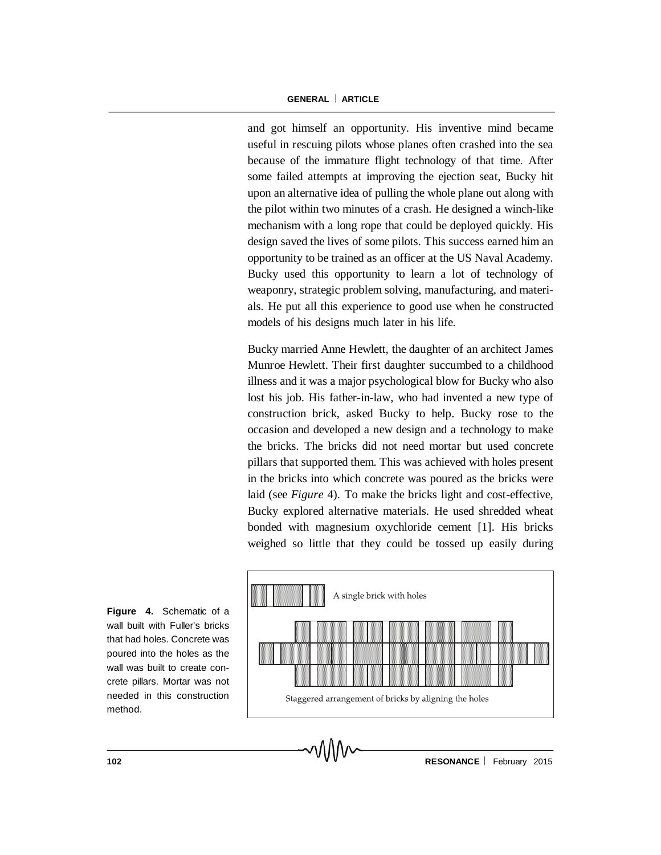and got himself an opportunity. His inventive mind became useful in rescuing pilots whose planes often crashed into the sea because of the immature flight technology of that time. After some failed attempts at improving the ejection seat, Bucky hit upon an alternative idea of pulling the whole plane out along with the pilot within two minutes of a crash. He designed a winch-like mechanism with a long rope that could be deployed quickly. His design saved the lives of some pilots. This success earned him an opportunity to be trained as an officer at the US Naval Academy. Bucky used this opportunity to learn a lot of technology of weaponry, strategic problem solving, manufacturing, and materials. He put all this experience to good use when he constructed models of his designs much later in his life.

Bucky married Anne Hewlett, the daughter of an architect James Munroe Hewlett. Their first daughter succumbed to a childhood illness and it was a major psychological blow for Bucky who also lost his job. His father-in-law, who had invented a new type of construction brick, asked Bucky to help. Bucky rose to the occasion and developed a new design and a technology to make the bricks. The bricks did not need mortar but used concrete pillars that supported them. This was achieved with holes present in the bricks into which concrete was poured as the bricks were laid (see *Figure* 4). To make the bricks light and cost-effective, Bucky explored alternative materials. He used shredded wheat bonded with magnesium oxychloride cement [1]. His bricks weighed so little that they could be tossed up easily during



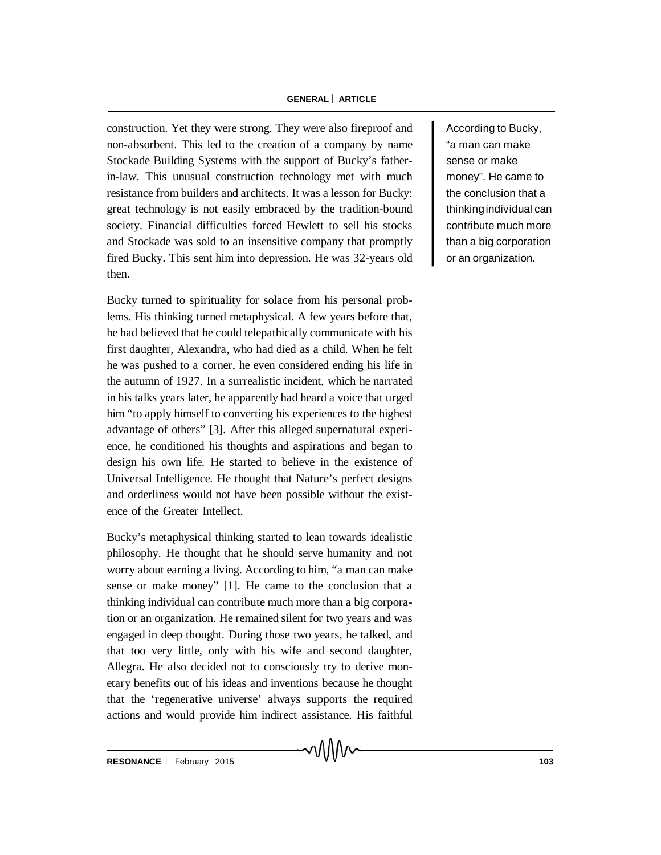construction. Yet they were strong. They were also fireproof and non-absorbent. This led to the creation of a company by name Stockade Building Systems with the support of Bucky's fatherin-law. This unusual construction technology met with much resistance from builders and architects. It was a lesson for Bucky: great technology is not easily embraced by the tradition-bound society. Financial difficulties forced Hewlett to sell his stocks and Stockade was sold to an insensitive company that promptly fired Bucky. This sent him into depression. He was 32-years old then.

Bucky turned to spirituality for solace from his personal problems. His thinking turned metaphysical. A few years before that, he had believed that he could telepathically communicate with his first daughter, Alexandra, who had died as a child. When he felt he was pushed to a corner, he even considered ending his life in the autumn of 1927. In a surrealistic incident, which he narrated in his talks years later, he apparently had heard a voice that urged him "to apply himself to converting his experiences to the highest advantage of others" [3]. After this alleged supernatural experience, he conditioned his thoughts and aspirations and began to design his own life. He started to believe in the existence of Universal Intelligence. He thought that Nature's perfect designs and orderliness would not have been possible without the existence of the Greater Intellect.

Bucky's metaphysical thinking started to lean towards idealistic philosophy. He thought that he should serve humanity and not worry about earning a living. According to him, "a man can make sense or make money" [1]. He came to the conclusion that a thinking individual can contribute much more than a big corporation or an organization. He remained silent for two years and was engaged in deep thought. During those two years, he talked, and that too very little, only with his wife and second daughter, Allegra. He also decided not to consciously try to derive monetary benefits out of his ideas and inventions because he thought that the 'regenerative universe' always supports the required actions and would provide him indirect assistance. His faithful According to Bucky, "a man can make sense or make money". He came to the conclusion that a thinkingindividual can contribute much more than a big corporation or an organization.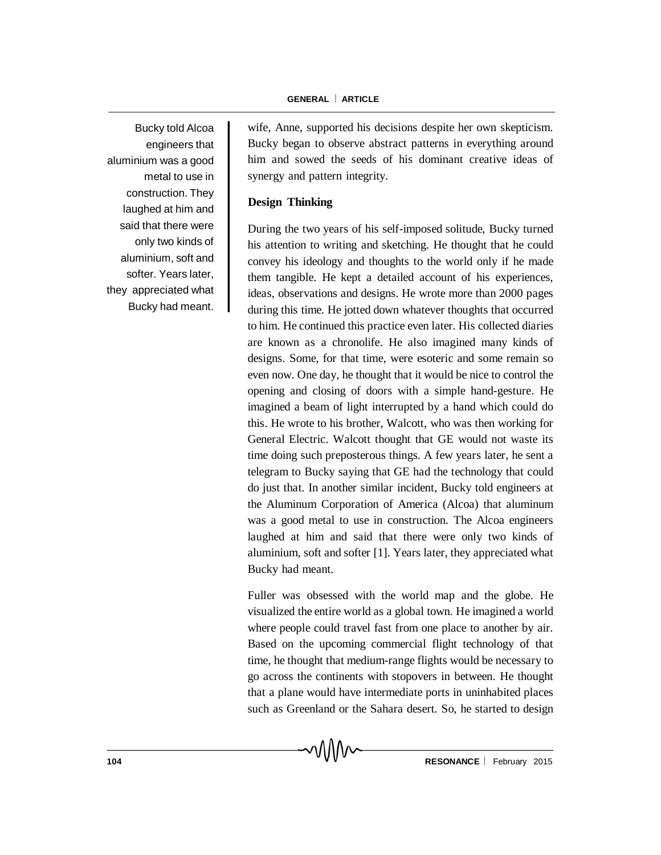Bucky told Alcoa engineers that aluminium was a good metal to use in construction. They laughed at him and said that there were only two kinds of aluminium, soft and softer. Years later, they appreciated what Bucky had meant.

wife, Anne, supported his decisions despite her own skepticism. Bucky began to observe abstract patterns in everything around him and sowed the seeds of his dominant creative ideas of synergy and pattern integrity.

# **Design Thinking**

During the two years of his self-imposed solitude, Bucky turned his attention to writing and sketching. He thought that he could convey his ideology and thoughts to the world only if he made them tangible. He kept a detailed account of his experiences, ideas, observations and designs. He wrote more than 2000 pages during this time. He jotted down whatever thoughts that occurred to him. He continued this practice even later. His collected diaries are known as a chronolife. He also imagined many kinds of designs. Some, for that time, were esoteric and some remain so even now. One day, he thought that it would be nice to control the opening and closing of doors with a simple hand-gesture. He imagined a beam of light interrupted by a hand which could do this. He wrote to his brother, Walcott, who was then working for General Electric. Walcott thought that GE would not waste its time doing such preposterous things. A few years later, he sent a telegram to Bucky saying that GE had the technology that could do just that. In another similar incident, Bucky told engineers at the Aluminum Corporation of America (Alcoa) that aluminum was a good metal to use in construction. The Alcoa engineers laughed at him and said that there were only two kinds of aluminium, soft and softer [1]. Years later, they appreciated what Bucky had meant.

Fuller was obsessed with the world map and the globe. He visualized the entire world as a global town. He imagined a world where people could travel fast from one place to another by air. Based on the upcoming commercial flight technology of that time, he thought that medium-range flights would be necessary to go across the continents with stopovers in between. He thought that a plane would have intermediate ports in uninhabited places such as Greenland or the Sahara desert. So, he started to design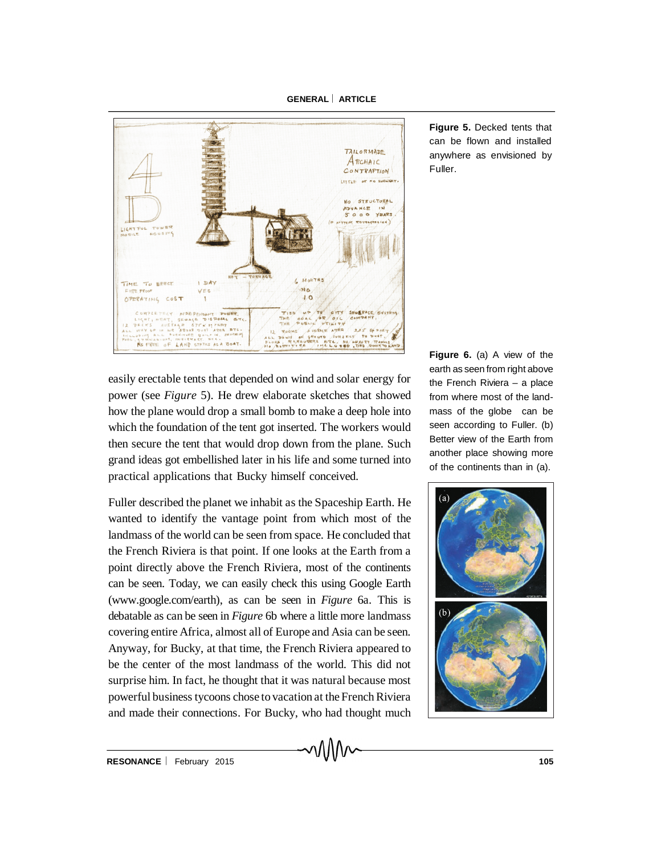

easily erectable tents that depended on wind and solar energy for power (see *Figure* 5). He drew elaborate sketches that showed how the plane would drop a small bomb to make a deep hole into which the foundation of the tent got inserted. The workers would then secure the tent that would drop down from the plane. Such grand ideas got embellished later in his life and some turned into practical applications that Bucky himself conceived.

Fuller described the planet we inhabit as the Spaceship Earth. He wanted to identify the vantage point from which most of the landmass of the world can be seen from space. He concluded that the French Riviera is that point. If one looks at the Earth from a point directly above the French Riviera, most of the continents can be seen. Today, we can easily check this using Google Earth (www.google.com/earth), as can be seen in *Figure* 6a. This is debatable as can be seen in *Figure* 6b where a little more landmass covering entire Africa, almost all of Europe and Asia can be seen. Anyway, for Bucky, at that time, the French Riviera appeared to be the center of the most landmass of the world. This did not surprise him. In fact, he thought that it was natural because most powerful business tycoons chose to vacation at the French Riviera and made their connections. For Bucky, who had thought much

**Figure 5.** Decked tents that can be flown and installed anywhere as envisioned by Fuller.

**Figure 6.** (a) A view of the earth as seen from right above the French Riviera – a place from where most of the landmass of the globe can be seen according to Fuller. (b) Better view of the Earth from another place showing more of the continents than in (a).

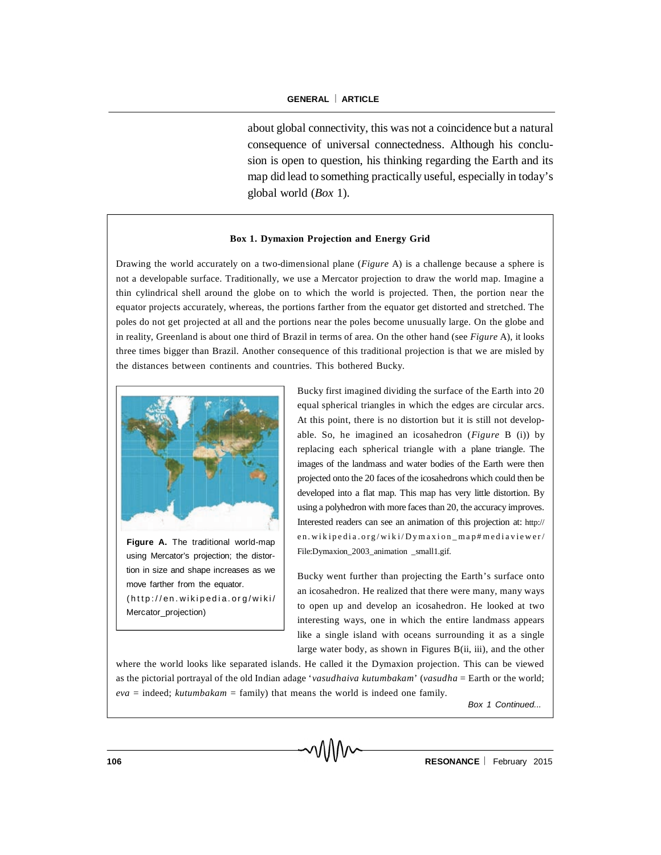about global connectivity, this was not a coincidence but a natural consequence of universal connectedness. Although his conclusion is open to question, his thinking regarding the Earth and its map did lead to something practically useful, especially in today's global world (*Box* 1).

#### **Box 1. Dymaxion Projection and Energy Grid**

Drawing the world accurately on a two-dimensional plane (*Figure* A) is a challenge because a sphere is not a developable surface. Traditionally, we use a Mercator projection to draw the world map. Imagine a thin cylindrical shell around the globe on to which the world is projected. Then, the portion near the equator projects accurately, whereas, the portions farther from the equator get distorted and stretched. The poles do not get projected at all and the portions near the poles become unusually large. On the globe and in reality, Greenland is about one third of Brazil in terms of area. On the other hand (see *Figure* A), it looks three times bigger than Brazil. Another consequence of this traditional projection is that we are misled by the distances between continents and countries. This bothered Bucky.



**Figure A.** The traditional world-map using Mercator's projection; the distortion in size and shape increases as we move farther from the equator.  $(http://en.wikipedia.org/wiki/$ Mercator\_projection)

Bucky first imagined dividing the surface of the Earth into 20 equal spherical triangles in which the edges are circular arcs. At this point, there is no distortion but it is still not developable. So, he imagined an icosahedron (*Figure* B (i)) by replacing each spherical triangle with a plane triangle. The images of the landmass and water bodies of the Earth were then projected onto the 20 faces of the icosahedrons which could then be developed into a flat map. This map has very little distortion. By using a polyhedron with more faces than 20, the accuracy improves. Interested readers can see an animation of this projection at: http:// en.wikipedia.org/wiki/Dymaxion\_map#mediaviewer/ File:Dymaxion\_2003\_animation \_small1.gif.

Bucky went further than projecting the Earth's surface onto an icosahedron. He realized that there were many, many ways to open up and develop an icosahedron. He looked at two interesting ways, one in which the entire landmass appears like a single island with oceans surrounding it as a single large water body, as shown in Figures B(ii, iii), and the other

where the world looks like separated islands. He called it the Dymaxion projection. This can be viewed as the pictorial portrayal of the old Indian adage '*vasudhaiva kutumbakam*' (*vasudha* = Earth or the world;  $eva = indeed$ ;  $kutumbakam = family$  that means the world is indeed one family.

*Box 1 Continued...*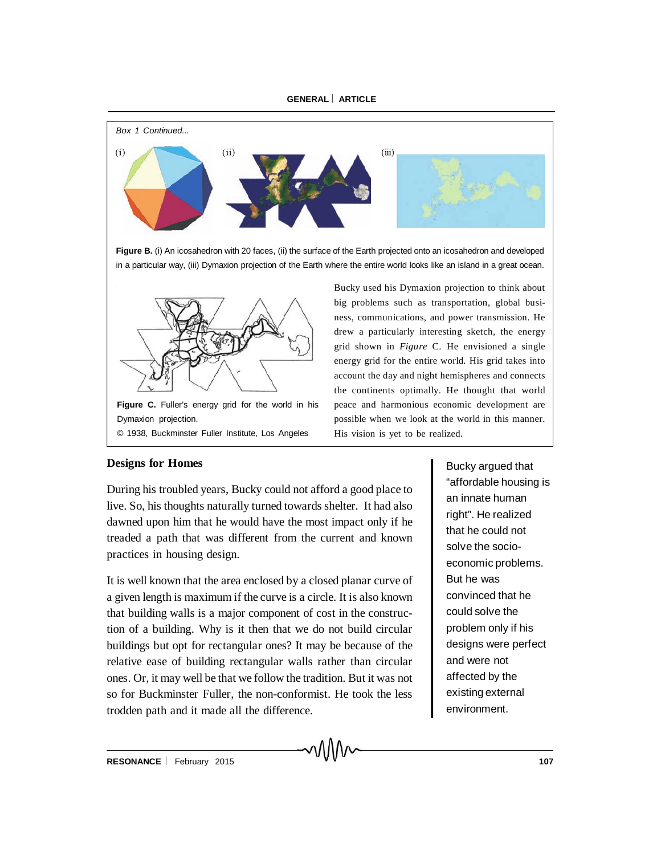#### **GENERAL ARTICLE**



**Figure B.** (i) An icosahedron with 20 faces, (ii) the surface of the Earth projected onto an icosahedron and developed in a particular way, (iii) Dymaxion projection of the Earth where the entire world looks like an island in a great ocean.



Bucky used his Dymaxion projection to think about big problems such as transportation, global business, communications, and power transmission. He drew a particularly interesting sketch, the energy grid shown in *Figure* C. He envisioned a single energy grid for the entire world. His grid takes into account the day and night hemispheres and connects the continents optimally. He thought that world peace and harmonious economic development are possible when we look at the world in this manner. His vision is yet to be realized.

#### **Designs for Homes**

During his troubled years, Bucky could not afford a good place to live. So, his thoughts naturally turned towards shelter. It had also dawned upon him that he would have the most impact only if he treaded a path that was different from the current and known practices in housing design.

It is well known that the area enclosed by a closed planar curve of a given length is maximum if the curve is a circle. It is also known that building walls is a major component of cost in the construction of a building. Why is it then that we do not build circular buildings but opt for rectangular ones? It may be because of the relative ease of building rectangular walls rather than circular ones. Or, it may well be that we follow the tradition. But it was not so for Buckminster Fuller, the non-conformist. He took the less trodden path and it made all the difference.

Bucky argued that "affordable housing is an innate human right". He realized that he could not solve the socioeconomic problems. But he was convinced that he could solve the problem only if his designs were perfect and were not affected by the existing external environment.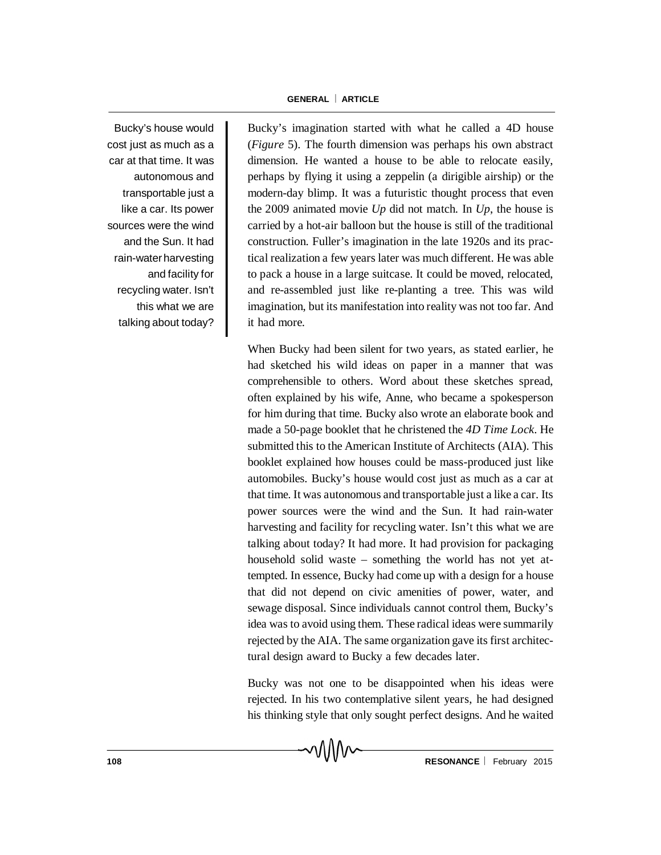Bucky's house would cost just as much as a car at that time. It was autonomous and transportable just a like a car. Its power sources were the wind and the Sun. It had rain-water harvesting and facility for recycling water. Isn't this what we are talking about today?

Bucky's imagination started with what he called a 4D house (*Figure* 5). The fourth dimension was perhaps his own abstract dimension. He wanted a house to be able to relocate easily, perhaps by flying it using a zeppelin (a dirigible airship) or the modern-day blimp. It was a futuristic thought process that even the 2009 animated movie *Up* did not match. In *Up*, the house is carried by a hot-air balloon but the house is still of the traditional construction. Fuller's imagination in the late 1920s and its practical realization a few years later was much different. He was able to pack a house in a large suitcase. It could be moved, relocated, and re-assembled just like re-planting a tree. This was wild imagination, but its manifestation into reality was not too far. And it had more.

When Bucky had been silent for two years, as stated earlier, he had sketched his wild ideas on paper in a manner that was comprehensible to others. Word about these sketches spread, often explained by his wife, Anne, who became a spokesperson for him during that time. Bucky also wrote an elaborate book and made a 50-page booklet that he christened the *4D Time Lock*. He submitted this to the American Institute of Architects (AIA). This booklet explained how houses could be mass-produced just like automobiles. Bucky's house would cost just as much as a car at that time. It was autonomous and transportable just a like a car. Its power sources were the wind and the Sun. It had rain-water harvesting and facility for recycling water. Isn't this what we are talking about today? It had more. It had provision for packaging household solid waste – something the world has not yet attempted. In essence, Bucky had come up with a design for a house that did not depend on civic amenities of power, water, and sewage disposal. Since individuals cannot control them, Bucky's idea was to avoid using them. These radical ideas were summarily rejected by the AIA. The same organization gave its first architectural design award to Bucky a few decades later.

Bucky was not one to be disappointed when his ideas were rejected. In his two contemplative silent years, he had designed his thinking style that only sought perfect designs. And he waited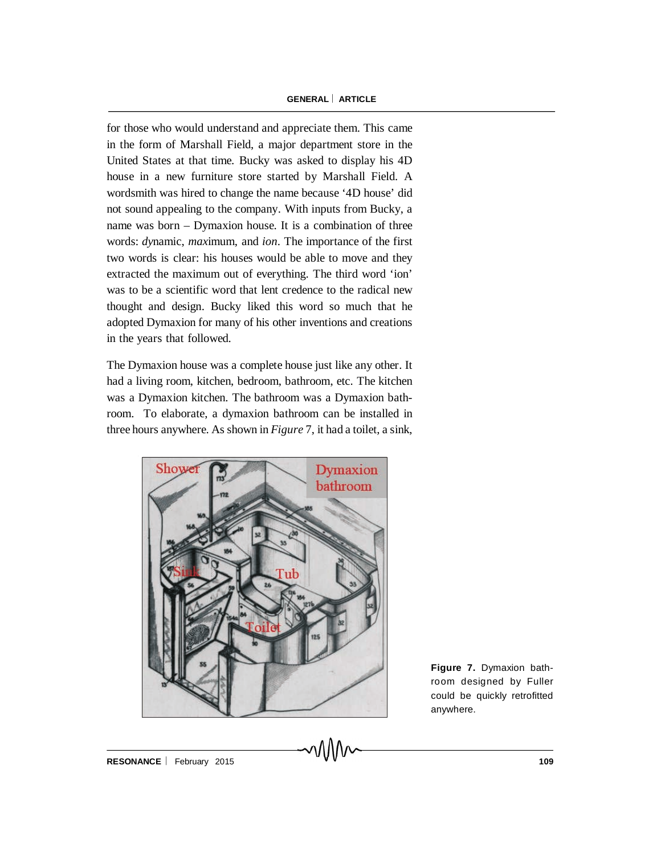for those who would understand and appreciate them. This came in the form of Marshall Field, a major department store in the United States at that time. Bucky was asked to display his 4D house in a new furniture store started by Marshall Field. A wordsmith was hired to change the name because '4D house' did not sound appealing to the company. With inputs from Bucky, a name was born – Dymaxion house. It is a combination of three words: *dy*namic, *max*imum, and *ion*. The importance of the first two words is clear: his houses would be able to move and they extracted the maximum out of everything. The third word 'ion' was to be a scientific word that lent credence to the radical new thought and design. Bucky liked this word so much that he adopted Dymaxion for many of his other inventions and creations in the years that followed.

The Dymaxion house was a complete house just like any other. It had a living room, kitchen, bedroom, bathroom, etc. The kitchen was a Dymaxion kitchen. The bathroom was a Dymaxion bathroom. To elaborate, a dymaxion bathroom can be installed in three hours anywhere. As shown in *Figure* 7, it had a toilet, a sink,



**Figure 7.** Dymaxion bathroom designed by Fuller could be quickly retrofitted anywhere.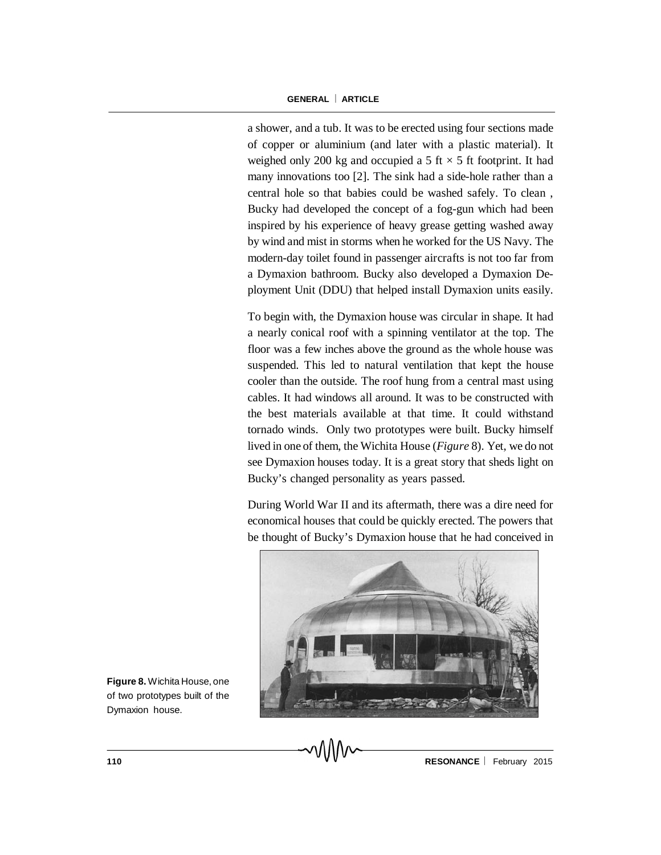a shower, and a tub. It was to be erected using four sections made of copper or aluminium (and later with a plastic material). It weighed only 200 kg and occupied a 5 ft  $\times$  5 ft footprint. It had many innovations too [2]. The sink had a side-hole rather than a central hole so that babies could be washed safely. To clean , Bucky had developed the concept of a fog-gun which had been inspired by his experience of heavy grease getting washed away by wind and mist in storms when he worked for the US Navy. The modern-day toilet found in passenger aircrafts is not too far from a Dymaxion bathroom. Bucky also developed a Dymaxion Deployment Unit (DDU) that helped install Dymaxion units easily.

To begin with, the Dymaxion house was circular in shape. It had a nearly conical roof with a spinning ventilator at the top. The floor was a few inches above the ground as the whole house was suspended. This led to natural ventilation that kept the house cooler than the outside. The roof hung from a central mast using cables. It had windows all around. It was to be constructed with the best materials available at that time. It could withstand tornado winds. Only two prototypes were built. Bucky himself lived in one of them, the Wichita House (*Figure* 8). Yet, we do not see Dymaxion houses today. It is a great story that sheds light on Bucky's changed personality as years passed.

During World War II and its aftermath, there was a dire need for economical houses that could be quickly erected. The powers that be thought of Bucky's Dymaxion house that he had conceived in



**Figure 8.** Wichita House, one of two prototypes built of the Dymaxion house.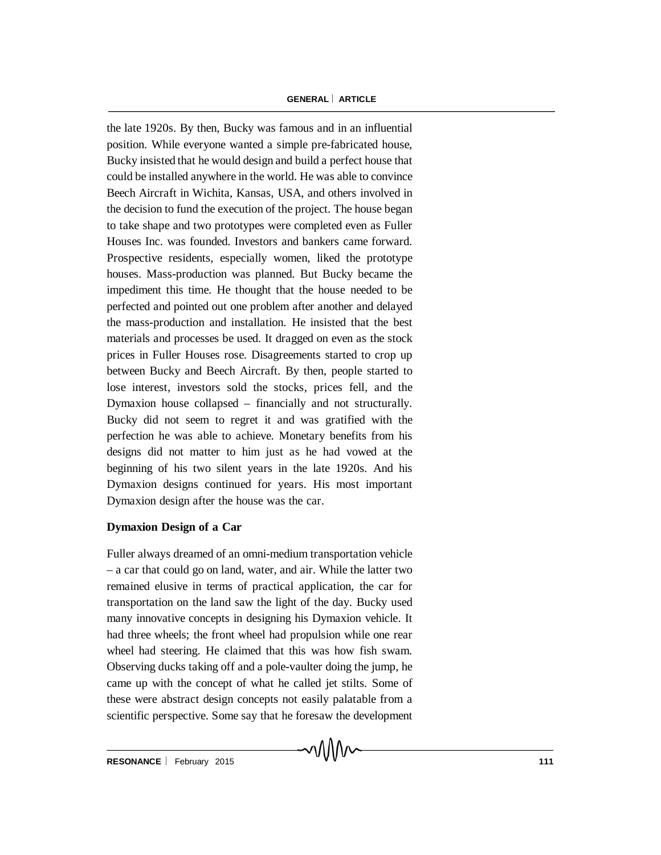the late 1920s. By then, Bucky was famous and in an influential position. While everyone wanted a simple pre-fabricated house, Bucky insisted that he would design and build a perfect house that could be installed anywhere in the world. He was able to convince Beech Aircraft in Wichita, Kansas, USA, and others involved in the decision to fund the execution of the project. The house began to take shape and two prototypes were completed even as Fuller Houses Inc. was founded. Investors and bankers came forward. Prospective residents, especially women, liked the prototype houses. Mass-production was planned. But Bucky became the impediment this time. He thought that the house needed to be perfected and pointed out one problem after another and delayed the mass-production and installation. He insisted that the best materials and processes be used. It dragged on even as the stock prices in Fuller Houses rose. Disagreements started to crop up between Bucky and Beech Aircraft. By then, people started to lose interest, investors sold the stocks, prices fell, and the Dymaxion house collapsed – financially and not structurally. Bucky did not seem to regret it and was gratified with the perfection he was able to achieve. Monetary benefits from his designs did not matter to him just as he had vowed at the beginning of his two silent years in the late 1920s. And his Dymaxion designs continued for years. His most important Dymaxion design after the house was the car.

# **Dymaxion Design of a Car**

Fuller always dreamed of an omni-medium transportation vehicle – a car that could go on land, water, and air. While the latter two remained elusive in terms of practical application, the car for transportation on the land saw the light of the day. Bucky used many innovative concepts in designing his Dymaxion vehicle. It had three wheels; the front wheel had propulsion while one rear wheel had steering. He claimed that this was how fish swam. Observing ducks taking off and a pole-vaulter doing the jump, he came up with the concept of what he called jet stilts. Some of these were abstract design concepts not easily palatable from a scientific perspective. Some say that he foresaw the development

∿∧∧∧∧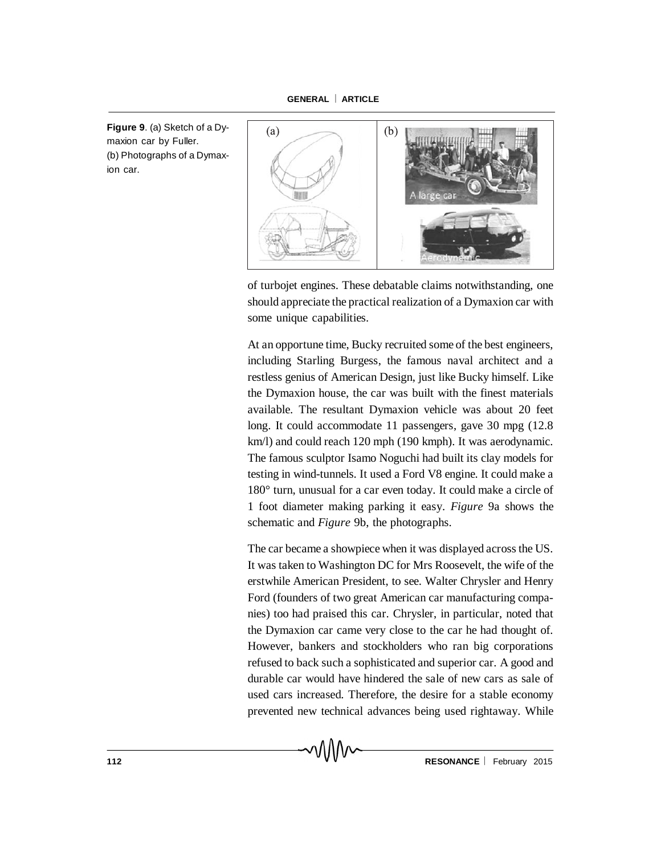**Figure 9**. (a) Sketch of a Dymaxion car by Fuller. (b) Photographs of a Dymaxion car.



of turbojet engines. These debatable claims notwithstanding, one should appreciate the practical realization of a Dymaxion car with some unique capabilities.

At an opportune time, Bucky recruited some of the best engineers, including Starling Burgess, the famous naval architect and a restless genius of American Design, just like Bucky himself. Like the Dymaxion house, the car was built with the finest materials available. The resultant Dymaxion vehicle was about 20 feet long. It could accommodate 11 passengers, gave 30 mpg (12.8 km/l) and could reach 120 mph (190 kmph). It was aerodynamic. The famous sculptor Isamo Noguchi had built its clay models for testing in wind-tunnels. It used a Ford V8 engine. It could make a 180° turn, unusual for a car even today. It could make a circle of 1 foot diameter making parking it easy. *Figure* 9a shows the schematic and *Figure* 9b, the photographs.

The car became a showpiece when it was displayed across the US. It was taken to Washington DC for Mrs Roosevelt, the wife of the erstwhile American President, to see. Walter Chrysler and Henry Ford (founders of two great American car manufacturing companies) too had praised this car. Chrysler, in particular, noted that the Dymaxion car came very close to the car he had thought of. However, bankers and stockholders who ran big corporations refused to back such a sophisticated and superior car. A good and durable car would have hindered the sale of new cars as sale of used cars increased. Therefore, the desire for a stable economy prevented new technical advances being used rightaway. While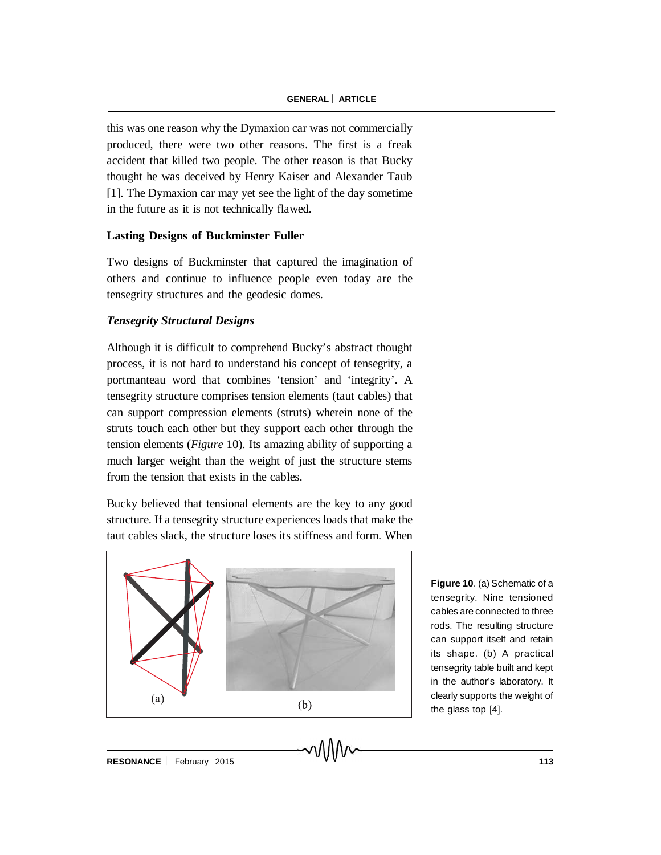this was one reason why the Dymaxion car was not commercially produced, there were two other reasons. The first is a freak accident that killed two people. The other reason is that Bucky thought he was deceived by Henry Kaiser and Alexander Taub [1]. The Dymaxion car may yet see the light of the day sometime in the future as it is not technically flawed.

## **Lasting Designs of Buckminster Fuller**

Two designs of Buckminster that captured the imagination of others and continue to influence people even today are the tensegrity structures and the geodesic domes.

## *Tensegrity Structural Designs*

Although it is difficult to comprehend Bucky's abstract thought process, it is not hard to understand his concept of tensegrity, a portmanteau word that combines 'tension' and 'integrity'. A tensegrity structure comprises tension elements (taut cables) that can support compression elements (struts) wherein none of the struts touch each other but they support each other through the tension elements (*Figure* 10). Its amazing ability of supporting a much larger weight than the weight of just the structure stems from the tension that exists in the cables.

Bucky believed that tensional elements are the key to any good structure. If a tensegrity structure experiences loads that make the taut cables slack, the structure loses its stiffness and form. When



**Figure 10**. (a) Schematic of a tensegrity. Nine tensioned cables are connected to three rods. The resulting structure can support itself and retain its shape. (b) A practical tensegrity table built and kept in the author's laboratory. It clearly supports the weight of the glass top [4].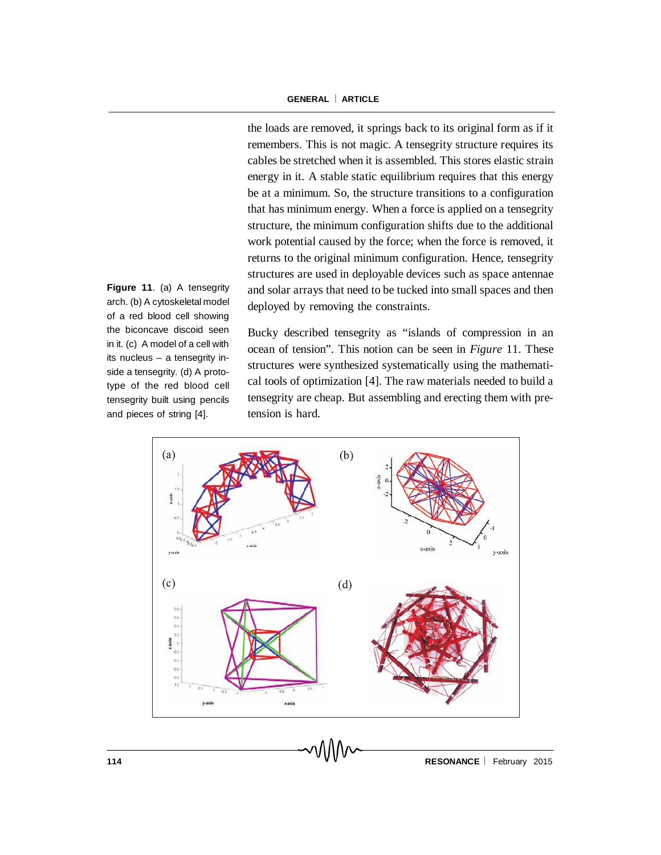the loads are removed, it springs back to its original form as if it remembers. This is not magic. A tensegrity structure requires its cables be stretched when it is assembled. This stores elastic strain energy in it. A stable static equilibrium requires that this energy be at a minimum. So, the structure transitions to a configuration that has minimum energy. When a force is applied on a tensegrity structure, the minimum configuration shifts due to the additional work potential caused by the force; when the force is removed, it returns to the original minimum configuration. Hence, tensegrity structures are used in deployable devices such as space antennae and solar arrays that need to be tucked into small spaces and then deployed by removing the constraints.

**Figure 11**. (a) A tensegrity arch. (b) A cytoskeletal model of a red blood cell showing the biconcave discoid seen in it. (c) A model of a cell with its nucleus – a tensegrity inside a tensegrity. (d) A prototype of the red blood cell tensegrity built using pencils and pieces of string [4].

Bucky described tensegrity as "islands of compression in an ocean of tension". This notion can be seen in *Figure* 11. These structures were synthesized systematically using the mathematical tools of optimization [4]. The raw materials needed to build a tensegrity are cheap. But assembling and erecting them with pretension is hard.

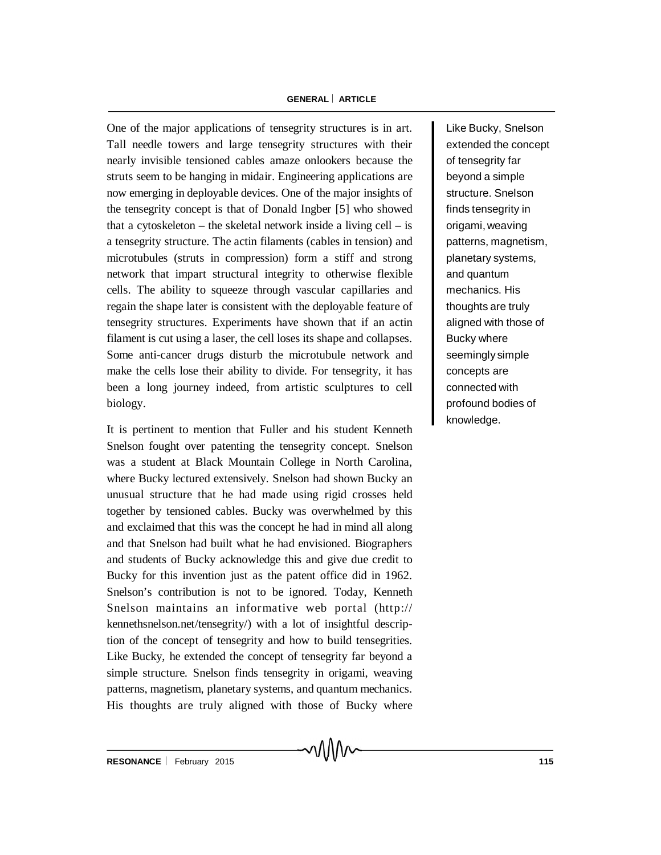One of the major applications of tensegrity structures is in art. Tall needle towers and large tensegrity structures with their nearly invisible tensioned cables amaze onlookers because the struts seem to be hanging in midair. Engineering applications are now emerging in deployable devices. One of the major insights of the tensegrity concept is that of Donald Ingber [5] who showed that a cytoskeleton – the skeletal network inside a living cell – is a tensegrity structure. The actin filaments (cables in tension) and microtubules (struts in compression) form a stiff and strong network that impart structural integrity to otherwise flexible cells. The ability to squeeze through vascular capillaries and regain the shape later is consistent with the deployable feature of tensegrity structures. Experiments have shown that if an actin filament is cut using a laser, the cell loses its shape and collapses. Some anti-cancer drugs disturb the microtubule network and make the cells lose their ability to divide. For tensegrity, it has been a long journey indeed, from artistic sculptures to cell biology.

It is pertinent to mention that Fuller and his student Kenneth Snelson fought over patenting the tensegrity concept. Snelson was a student at Black Mountain College in North Carolina, where Bucky lectured extensively. Snelson had shown Bucky an unusual structure that he had made using rigid crosses held together by tensioned cables. Bucky was overwhelmed by this and exclaimed that this was the concept he had in mind all along and that Snelson had built what he had envisioned. Biographers and students of Bucky acknowledge this and give due credit to Bucky for this invention just as the patent office did in 1962. Snelson's contribution is not to be ignored. Today, Kenneth Snelson maintains an informative web portal (http:// kennethsnelson.net/tensegrity/) with a lot of insightful description of the concept of tensegrity and how to build tensegrities. Like Bucky, he extended the concept of tensegrity far beyond a simple structure. Snelson finds tensegrity in origami, weaving patterns, magnetism, planetary systems, and quantum mechanics. His thoughts are truly aligned with those of Bucky where

Like Bucky, Snelson extended the concept of tensegrity far beyond a simple structure. Snelson finds tensegrity in origami, weaving patterns, magnetism, planetary systems, and quantum mechanics. His thoughts are truly aligned with those of Bucky where seemingly simple concepts are connected with profound bodies of knowledge.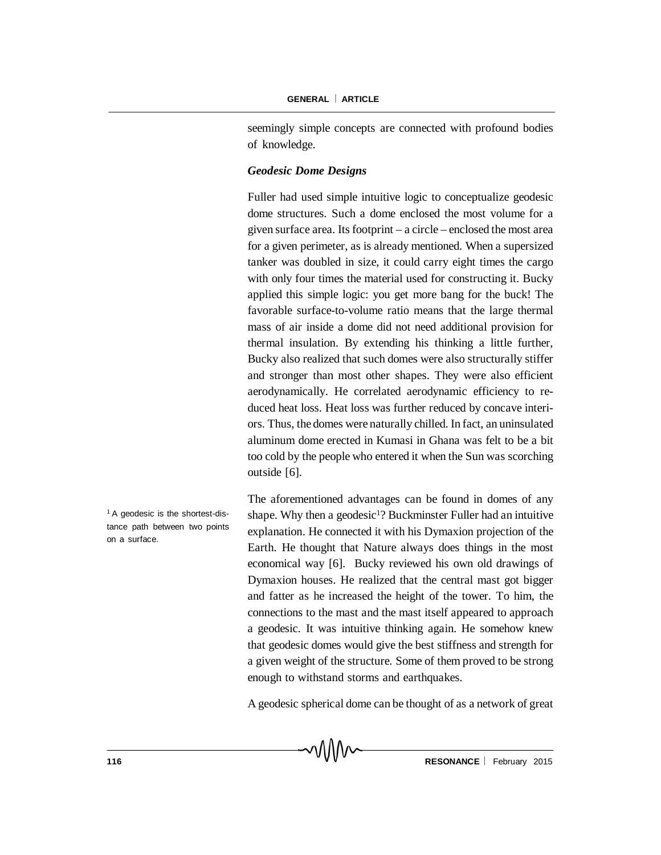seemingly simple concepts are connected with profound bodies of knowledge.

# *Geodesic Dome Designs*

Fuller had used simple intuitive logic to conceptualize geodesic dome structures. Such a dome enclosed the most volume for a given surface area. Its footprint – a circle – enclosed the most area for a given perimeter, as is already mentioned. When a supersized tanker was doubled in size, it could carry eight times the cargo with only four times the material used for constructing it. Bucky applied this simple logic: you get more bang for the buck! The favorable surface-to-volume ratio means that the large thermal mass of air inside a dome did not need additional provision for thermal insulation. By extending his thinking a little further, Bucky also realized that such domes were also structurally stiffer and stronger than most other shapes. They were also efficient aerodynamically. He correlated aerodynamic efficiency to reduced heat loss. Heat loss was further reduced by concave interiors. Thus, the domes were naturally chilled. In fact, an uninsulated aluminum dome erected in Kumasi in Ghana was felt to be a bit too cold by the people who entered it when the Sun was scorching outside [6].

<sup>1</sup> A geodesic is the shortest-distance path between two points on a surface.

The aforementioned advantages can be found in domes of any shape. Why then a geodesic<sup>1</sup>? Buckminster Fuller had an intuitive explanation. He connected it with his Dymaxion projection of the Earth. He thought that Nature always does things in the most economical way [6]. Bucky reviewed his own old drawings of Dymaxion houses. He realized that the central mast got bigger and fatter as he increased the height of the tower. To him, the connections to the mast and the mast itself appeared to approach a geodesic. It was intuitive thinking again. He somehow knew that geodesic domes would give the best stiffness and strength for a given weight of the structure. Some of them proved to be strong enough to withstand storms and earthquakes.

A geodesic spherical dome can be thought of as a network of great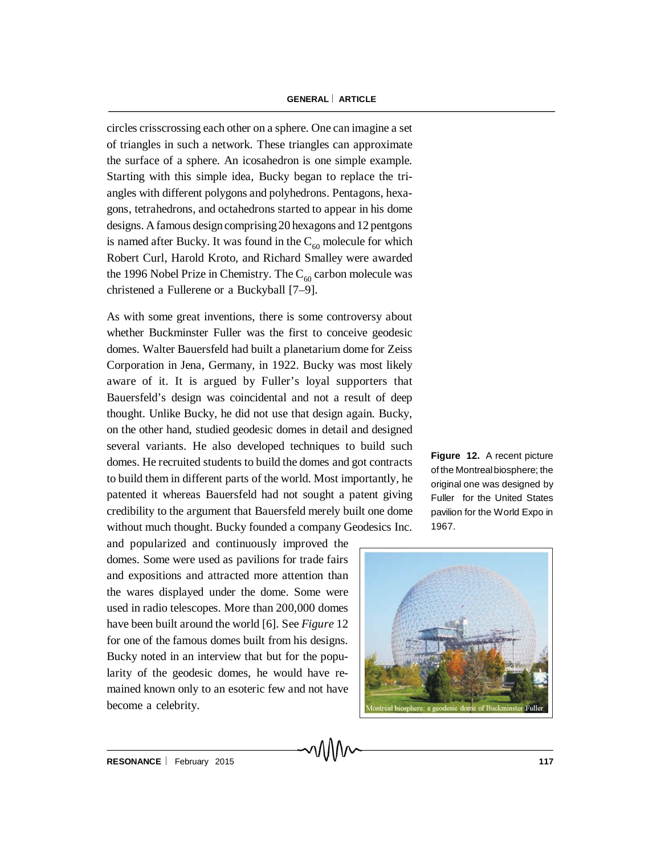circles crisscrossing each other on a sphere. One can imagine a set of triangles in such a network. These triangles can approximate the surface of a sphere. An icosahedron is one simple example. Starting with this simple idea, Bucky began to replace the triangles with different polygons and polyhedrons. Pentagons, hexagons, tetrahedrons, and octahedrons started to appear in his dome designs. A famous design comprising 20 hexagons and 12 pentgons is named after Bucky. It was found in the  $C_{60}$  molecule for which Robert Curl, Harold Kroto, and Richard Smalley were awarded the 1996 Nobel Prize in Chemistry. The  $C_{60}$  carbon molecule was christened a Fullerene or a Buckyball [7–9].

As with some great inventions, there is some controversy about whether Buckminster Fuller was the first to conceive geodesic domes. Walter Bauersfeld had built a planetarium dome for Zeiss Corporation in Jena, Germany, in 1922. Bucky was most likely aware of it. It is argued by Fuller's loyal supporters that Bauersfeld's design was coincidental and not a result of deep thought. Unlike Bucky, he did not use that design again. Bucky, on the other hand, studied geodesic domes in detail and designed several variants. He also developed techniques to build such domes. He recruited students to build the domes and got contracts to build them in different parts of the world. Most importantly, he patented it whereas Bauersfeld had not sought a patent giving credibility to the argument that Bauersfeld merely built one dome without much thought. Bucky founded a company Geodesics Inc.

and popularized and continuously improved the domes. Some were used as pavilions for trade fairs and expositions and attracted more attention than the wares displayed under the dome. Some were used in radio telescopes. More than 200,000 domes have been built around the world [6]. See *Figure* 12 for one of the famous domes built from his designs. Bucky noted in an interview that but for the popularity of the geodesic domes, he would have remained known only to an esoteric few and not have become a celebrity.

**Figure 12.** A recent picture of the Montrealbiosphere; the original one was designed by Fuller for the United States pavilion for the World Expo in 1967.

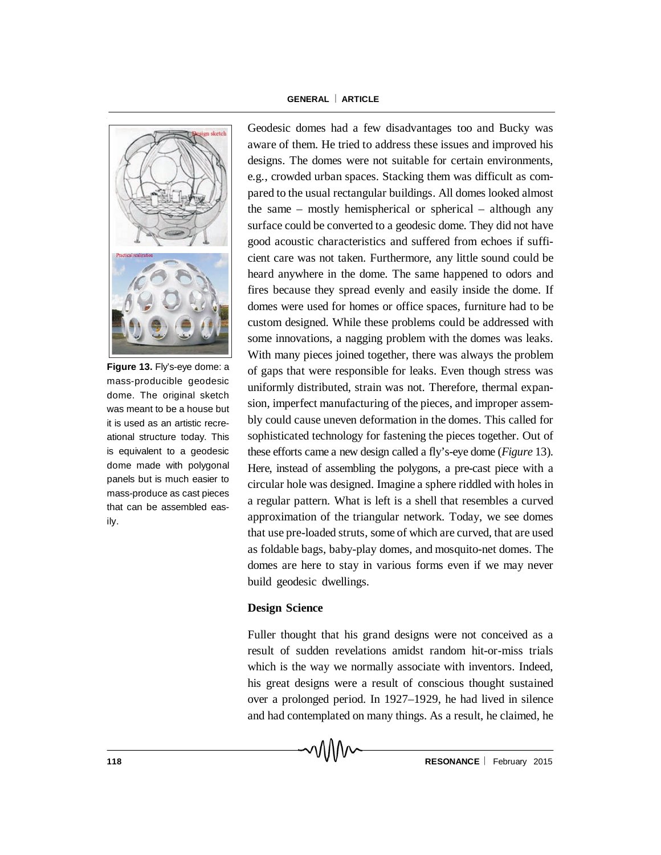

**Figure 13.** Fly's-eye dome: a mass-producible geodesic dome. The original sketch was meant to be a house but it is used as an artistic recreational structure today. This is equivalent to a geodesic dome made with polygonal panels but is much easier to mass-produce as cast pieces that can be assembled easily.

Geodesic domes had a few disadvantages too and Bucky was aware of them. He tried to address these issues and improved his designs. The domes were not suitable for certain environments, e.g., crowded urban spaces. Stacking them was difficult as compared to the usual rectangular buildings. All domes looked almost the same – mostly hemispherical or spherical – although any surface could be converted to a geodesic dome. They did not have good acoustic characteristics and suffered from echoes if sufficient care was not taken. Furthermore, any little sound could be heard anywhere in the dome. The same happened to odors and fires because they spread evenly and easily inside the dome. If domes were used for homes or office spaces, furniture had to be custom designed. While these problems could be addressed with some innovations, a nagging problem with the domes was leaks. With many pieces joined together, there was always the problem of gaps that were responsible for leaks. Even though stress was uniformly distributed, strain was not. Therefore, thermal expansion, imperfect manufacturing of the pieces, and improper assembly could cause uneven deformation in the domes. This called for sophisticated technology for fastening the pieces together. Out of these efforts came a new design called a fly's-eye dome (*Figure* 13). Here, instead of assembling the polygons, a pre-cast piece with a circular hole was designed. Imagine a sphere riddled with holes in a regular pattern. What is left is a shell that resembles a curved approximation of the triangular network. Today, we see domes that use pre-loaded struts, some of which are curved, that are used as foldable bags, baby-play domes, and mosquito-net domes. The domes are here to stay in various forms even if we may never build geodesic dwellings.

#### **Design Science**

Fuller thought that his grand designs were not conceived as a result of sudden revelations amidst random hit-or-miss trials which is the way we normally associate with inventors. Indeed, his great designs were a result of conscious thought sustained over a prolonged period. In 1927–1929, he had lived in silence and had contemplated on many things. As a result, he claimed, he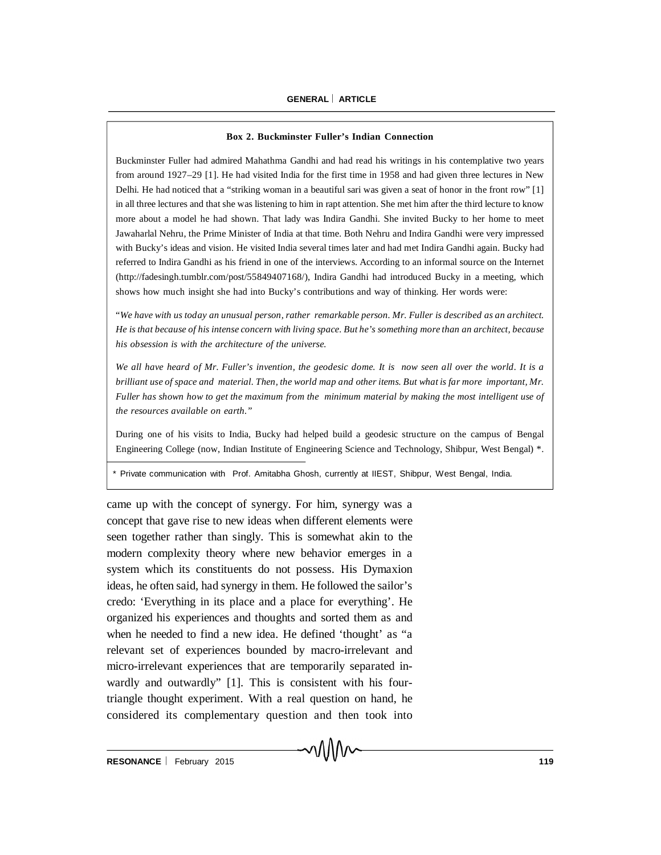#### **Box 2. Buckminster Fuller's Indian Connection**

Buckminster Fuller had admired Mahathma Gandhi and had read his writings in his contemplative two years from around 1927–29 [1]. He had visited India for the first time in 1958 and had given three lectures in New Delhi. He had noticed that a "striking woman in a beautiful sari was given a seat of honor in the front row" [1] in all three lectures and that she was listening to him in rapt attention. She met him after the third lecture to know more about a model he had shown. That lady was Indira Gandhi. She invited Bucky to her home to meet Jawaharlal Nehru, the Prime Minister of India at that time. Both Nehru and Indira Gandhi were very impressed with Bucky's ideas and vision. He visited India several times later and had met Indira Gandhi again. Bucky had referred to Indira Gandhi as his friend in one of the interviews. According to an informal source on the Internet (http://fadesingh.tumblr.com/post/55849407168/), Indira Gandhi had introduced Bucky in a meeting, which shows how much insight she had into Bucky's contributions and way of thinking. Her words were:

"*We have with us today an unusual person, rather remarkable person. Mr. Fuller is described as an architect. He is that because of his intense concern with living space. But he's something more than an architect, because his obsession is with the architecture of the universe.*

*We all have heard of Mr. Fuller's invention, the geodesic dome. It is now seen all over the world. It is a brilliant use of space and material. Then, the world map and other items. But what is far more important, Mr. Fuller has shown how to get the maximum from the minimum material by making the most intelligent use of the resources available on earth."*

During one of his visits to India, Bucky had helped build a geodesic structure on the campus of Bengal Engineering College (now, Indian Institute of Engineering Science and Technology, Shibpur, West Bengal) \*.

√∖∖∖∖∧

\* Private communication with Prof. Amitabha Ghosh, currently at IIEST, Shibpur, West Bengal, India.

came up with the concept of synergy. For him, synergy was a concept that gave rise to new ideas when different elements were seen together rather than singly. This is somewhat akin to the modern complexity theory where new behavior emerges in a system which its constituents do not possess. His Dymaxion ideas, he often said, had synergy in them. He followed the sailor's credo: 'Everything in its place and a place for everything'. He organized his experiences and thoughts and sorted them as and when he needed to find a new idea. He defined 'thought' as "a relevant set of experiences bounded by macro-irrelevant and micro-irrelevant experiences that are temporarily separated inwardly and outwardly" [1]. This is consistent with his fourtriangle thought experiment. With a real question on hand, he considered its complementary question and then took into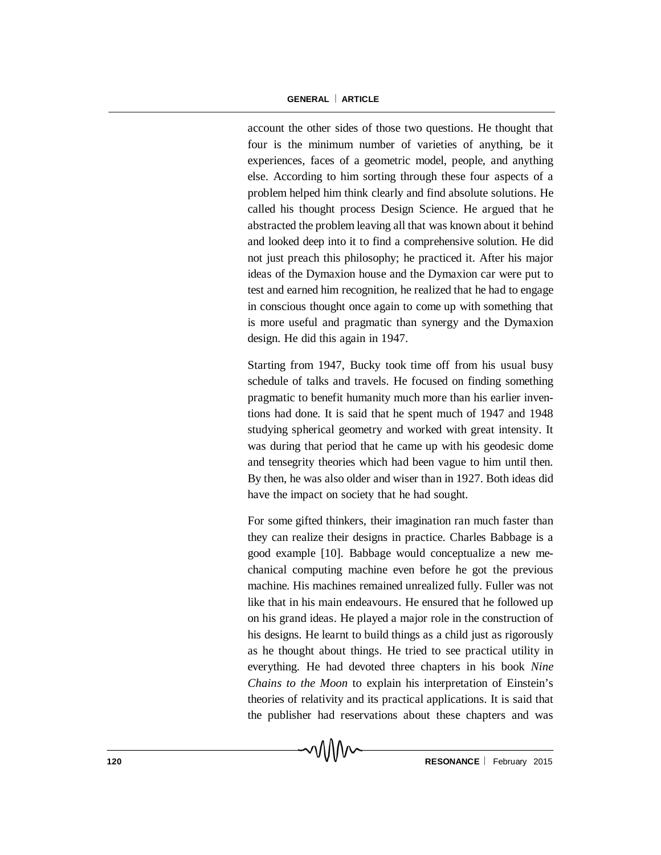account the other sides of those two questions. He thought that four is the minimum number of varieties of anything, be it experiences, faces of a geometric model, people, and anything else. According to him sorting through these four aspects of a problem helped him think clearly and find absolute solutions. He called his thought process Design Science. He argued that he abstracted the problem leaving all that was known about it behind and looked deep into it to find a comprehensive solution. He did not just preach this philosophy; he practiced it. After his major ideas of the Dymaxion house and the Dymaxion car were put to test and earned him recognition, he realized that he had to engage in conscious thought once again to come up with something that is more useful and pragmatic than synergy and the Dymaxion design. He did this again in 1947.

Starting from 1947, Bucky took time off from his usual busy schedule of talks and travels. He focused on finding something pragmatic to benefit humanity much more than his earlier inventions had done. It is said that he spent much of 1947 and 1948 studying spherical geometry and worked with great intensity. It was during that period that he came up with his geodesic dome and tensegrity theories which had been vague to him until then. By then, he was also older and wiser than in 1927. Both ideas did have the impact on society that he had sought.

For some gifted thinkers, their imagination ran much faster than they can realize their designs in practice. Charles Babbage is a good example [10]. Babbage would conceptualize a new mechanical computing machine even before he got the previous machine. His machines remained unrealized fully. Fuller was not like that in his main endeavours. He ensured that he followed up on his grand ideas. He played a major role in the construction of his designs. He learnt to build things as a child just as rigorously as he thought about things. He tried to see practical utility in everything. He had devoted three chapters in his book *Nine Chains to the Moon* to explain his interpretation of Einstein's theories of relativity and its practical applications. It is said that the publisher had reservations about these chapters and was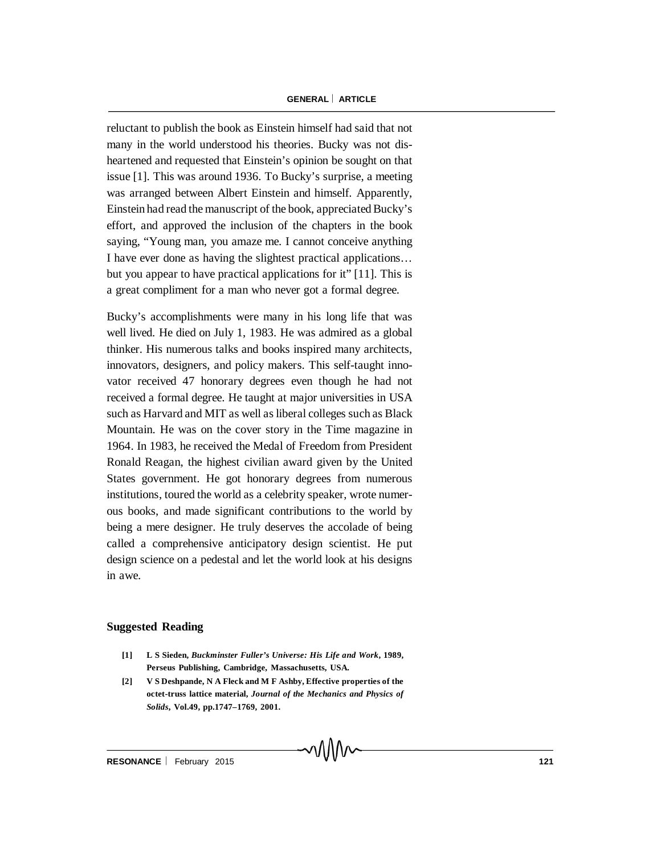reluctant to publish the book as Einstein himself had said that not many in the world understood his theories. Bucky was not disheartened and requested that Einstein's opinion be sought on that issue [1]. This was around 1936. To Bucky's surprise, a meeting was arranged between Albert Einstein and himself. Apparently, Einstein had read the manuscript of the book, appreciated Bucky's effort, and approved the inclusion of the chapters in the book saying, "Young man, you amaze me. I cannot conceive anything I have ever done as having the slightest practical applications… but you appear to have practical applications for it" [11]. This is a great compliment for a man who never got a formal degree.

Bucky's accomplishments were many in his long life that was well lived. He died on July 1, 1983. He was admired as a global thinker. His numerous talks and books inspired many architects, innovators, designers, and policy makers. This self-taught innovator received 47 honorary degrees even though he had not received a formal degree. He taught at major universities in USA such as Harvard and MIT as well as liberal colleges such as Black Mountain. He was on the cover story in the Time magazine in 1964. In 1983, he received the Medal of Freedom from President Ronald Reagan, the highest civilian award given by the United States government. He got honorary degrees from numerous institutions, toured the world as a celebrity speaker, wrote numerous books, and made significant contributions to the world by being a mere designer. He truly deserves the accolade of being called a comprehensive anticipatory design scientist. He put design science on a pedestal and let the world look at his designs in awe.

#### **Suggested Reading**

- **[1] L S Sieden,** *Buckminster Fuller's Universe: His Life and Work***, 1989, Perseus Publishing, Cambridge, Massachusetts, USA.**
- **[2] V S Deshpande, N A Fleck and M F Ashby, Effective properties of the octet-truss lattice material,** *Journal of the Mechanics and Physics of Solids***, Vol.49, pp.1747–1769, 2001.**